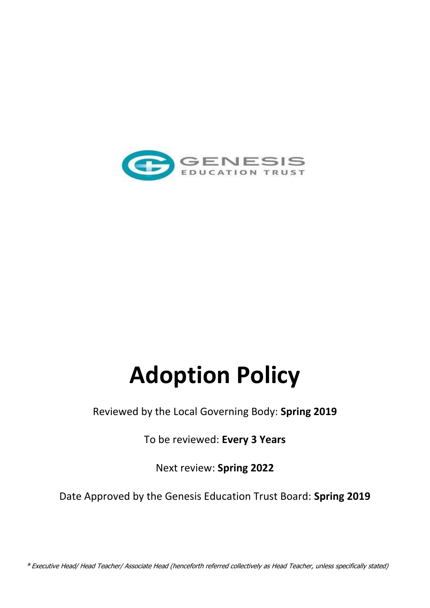

# **Adoption Policy**

Reviewed by the Local Governing Body: **Spring 2019**

To be reviewed: **Every 3 Years**

Next review: **Spring 2022**

Date Approved by the Genesis Education Trust Board: **Spring 2019**

\* Executive Head/ Head Teacher/ Associate Head (henceforth referred collectively as Head Teacher, unless specifically stated)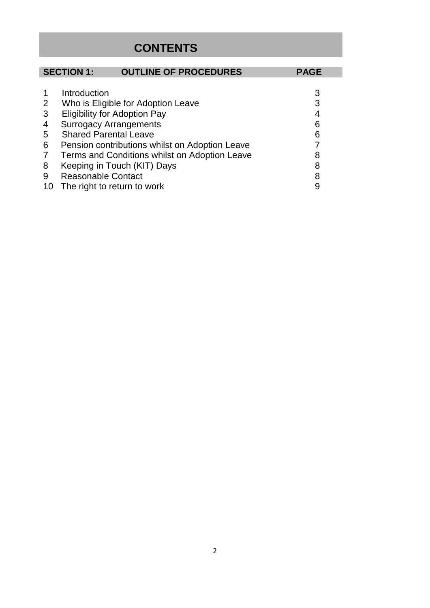# **CONTENTS**

|    | <b>SECTION 1:</b><br><b>OUTLINE OF PROCEDURES</b> | <b>PAGE</b> |
|----|---------------------------------------------------|-------------|
|    |                                                   |             |
|    | Introduction                                      |             |
| 2  | Who is Eligible for Adoption Leave                |             |
| 3  | <b>Eligibility for Adoption Pay</b>               |             |
| 4  | <b>Surrogacy Arrangements</b>                     |             |
| 5  | <b>Shared Parental Leave</b>                      | 6           |
| 6  | Pension contributions whilst on Adoption Leave    |             |
| 7  | Terms and Conditions whilst on Adoption Leave     |             |
| 8  | Keeping in Touch (KIT) Days                       | 8           |
| 9  | <b>Reasonable Contact</b>                         |             |
| 10 | The right to return to work                       |             |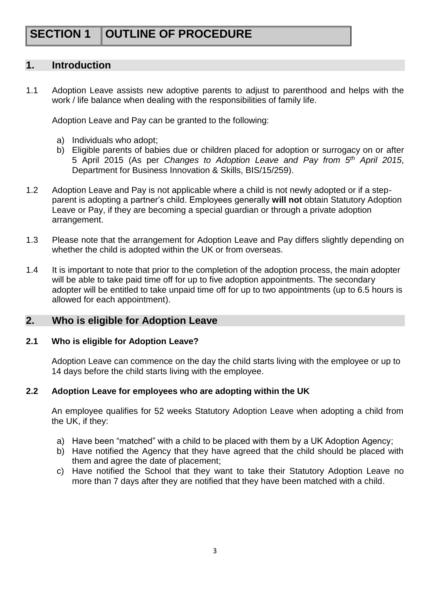# **SECTION 1 | OUTLINE OF PROCEDURE**

# **1. Introduction**

1.1 Adoption Leave assists new adoptive parents to adjust to parenthood and helps with the work / life balance when dealing with the responsibilities of family life.

Adoption Leave and Pay can be granted to the following:

- a) Individuals who adopt;
- b) Eligible parents of babies due or children placed for adoption or surrogacy on or after 5 April 2015 (As per *Changes to Adoption Leave and Pay from 5th April 2015*, Department for Business Innovation & Skills, BIS/15/259).
- 1.2 Adoption Leave and Pay is not applicable where a child is not newly adopted or if a stepparent is adopting a partner's child. Employees generally **will not** obtain Statutory Adoption Leave or Pay, if they are becoming a special guardian or through a private adoption arrangement.
- 1.3 Please note that the arrangement for Adoption Leave and Pay differs slightly depending on whether the child is adopted within the UK or from overseas.
- 1.4 It is important to note that prior to the completion of the adoption process, the main adopter will be able to take paid time off for up to five adoption appointments. The secondary adopter will be entitled to take unpaid time off for up to two appointments (up to 6.5 hours is allowed for each appointment).

# **2. Who is eligible for Adoption Leave**

#### **2.1 Who is eligible for Adoption Leave?**

Adoption Leave can commence on the day the child starts living with the employee or up to 14 days before the child starts living with the employee.

#### **2.2 Adoption Leave for employees who are adopting within the UK**

An employee qualifies for 52 weeks Statutory Adoption Leave when adopting a child from the UK, if they:

- a) Have been "matched" with a child to be placed with them by a UK Adoption Agency;
- b) Have notified the Agency that they have agreed that the child should be placed with them and agree the date of placement;
- c) Have notified the School that they want to take their Statutory Adoption Leave no more than 7 days after they are notified that they have been matched with a child.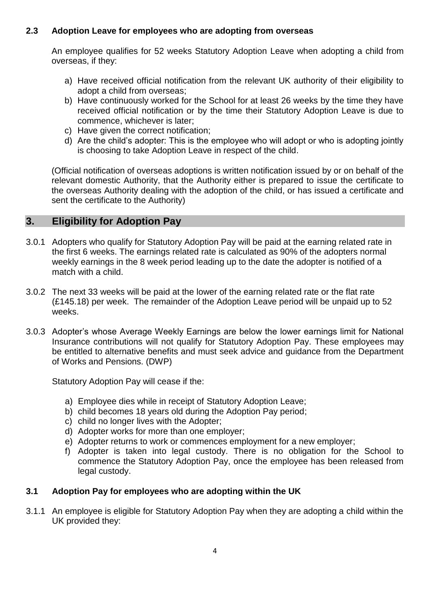#### **2.3 Adoption Leave for employees who are adopting from overseas**

An employee qualifies for 52 weeks Statutory Adoption Leave when adopting a child from overseas, if they:

- a) Have received official notification from the relevant UK authority of their eligibility to adopt a child from overseas;
- b) Have continuously worked for the School for at least 26 weeks by the time they have received official notification or by the time their Statutory Adoption Leave is due to commence, whichever is later;
- c) Have given the correct notification;
- d) Are the child's adopter: This is the employee who will adopt or who is adopting jointly is choosing to take Adoption Leave in respect of the child.

(Official notification of overseas adoptions is written notification issued by or on behalf of the relevant domestic Authority, that the Authority either is prepared to issue the certificate to the overseas Authority dealing with the adoption of the child, or has issued a certificate and sent the certificate to the Authority)

# **3. Eligibility for Adoption Pay**

- 3.0.1 Adopters who qualify for Statutory Adoption Pay will be paid at the earning related rate in the first 6 weeks. The earnings related rate is calculated as 90% of the adopters normal weekly earnings in the 8 week period leading up to the date the adopter is notified of a match with a child.
- 3.0.2 The next 33 weeks will be paid at the lower of the earning related rate or the flat rate (£145.18) per week. The remainder of the Adoption Leave period will be unpaid up to 52 weeks.
- 3.0.3 Adopter's whose Average Weekly Earnings are below the lower earnings limit for National Insurance contributions will not qualify for Statutory Adoption Pay. These employees may be entitled to alternative benefits and must seek advice and guidance from the Department of Works and Pensions. (DWP)

Statutory Adoption Pay will cease if the:

- a) Employee dies while in receipt of Statutory Adoption Leave;
- b) child becomes 18 years old during the Adoption Pay period;
- c) child no longer lives with the Adopter;
- d) Adopter works for more than one employer;
- e) Adopter returns to work or commences employment for a new employer;
- f) Adopter is taken into legal custody. There is no obligation for the School to commence the Statutory Adoption Pay, once the employee has been released from legal custody.

## **3.1 Adoption Pay for employees who are adopting within the UK**

3.1.1 An employee is eligible for Statutory Adoption Pay when they are adopting a child within the UK provided they: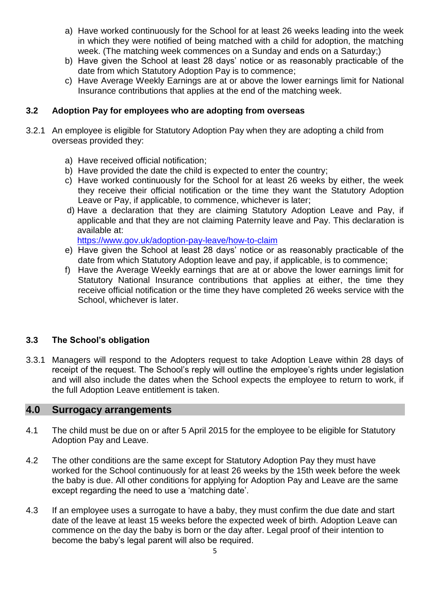- a) Have worked continuously for the School for at least 26 weeks leading into the week in which they were notified of being matched with a child for adoption, the matching week. (The matching week commences on a Sunday and ends on a Saturday;)
- b) Have given the School at least 28 days' notice or as reasonably practicable of the date from which Statutory Adoption Pay is to commence;
- c) Have Average Weekly Earnings are at or above the lower earnings limit for National Insurance contributions that applies at the end of the matching week.

#### **3.2 Adoption Pay for employees who are adopting from overseas**

- 3.2.1 An employee is eligible for Statutory Adoption Pay when they are adopting a child from overseas provided they:
	- a) Have received official notification;
	- b) Have provided the date the child is expected to enter the country;
	- c) Have worked continuously for the School for at least 26 weeks by either, the week they receive their official notification or the time they want the Statutory Adoption Leave or Pay, if applicable, to commence, whichever is later;
	- d) Have a declaration that they are claiming Statutory Adoption Leave and Pay, if applicable and that they are not claiming Paternity leave and Pay. This declaration is available at:

<https://www.gov.uk/adoption-pay-leave/how-to-claim>

- e) Have given the School at least 28 days' notice or as reasonably practicable of the date from which Statutory Adoption leave and pay, if applicable, is to commence;
- f) Have the Average Weekly earnings that are at or above the lower earnings limit for Statutory National Insurance contributions that applies at either, the time they receive official notification or the time they have completed 26 weeks service with the School, whichever is later.

#### **3.3 The School's obligation**

3.3.1 Managers will respond to the Adopters request to take Adoption Leave within 28 days of receipt of the request. The School's reply will outline the employee's rights under legislation and will also include the dates when the School expects the employee to return to work, if the full Adoption Leave entitlement is taken.

#### **4.0 Surrogacy arrangements**

- 4.1 The child must be due on or after 5 April 2015 for the employee to be eligible for Statutory Adoption Pay and Leave.
- 4.2 The other conditions are the same except for Statutory Adoption Pay they must have worked for the School continuously for at least 26 weeks by the 15th week before the week the baby is due. All other conditions for applying for Adoption Pay and Leave are the same except regarding the need to use a 'matching date'.
- 4.3 If an employee uses a surrogate to have a baby, they must confirm the due date and start date of the leave at least 15 weeks before the expected week of birth. Adoption Leave can commence on the day the baby is born or the day after. Legal proof of their intention to become the baby's legal parent will also be required.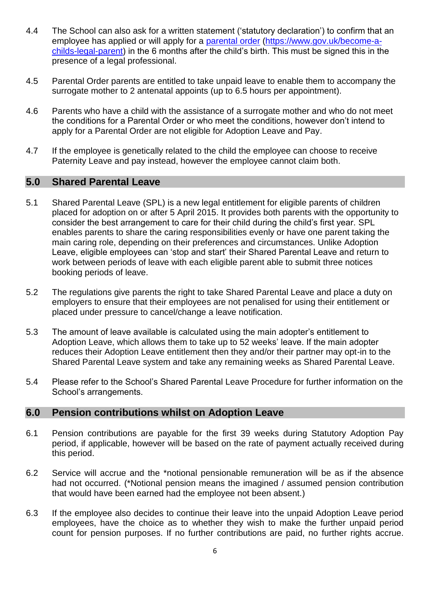- 4.4 The School can also ask for a written statement ('statutory declaration') to confirm that an employee has applied or will apply for a [parental order](https://www.gov.uk/become-a-childs-legal-parent) [\(https://www.gov.uk/become-a](https://www.gov.uk/become-a-childs-legal-parent)[childs-legal-parent\)](https://www.gov.uk/become-a-childs-legal-parent) in the 6 months after the child's birth. This must be signed this in the presence of a legal professional.
- 4.5 Parental Order parents are entitled to take unpaid leave to enable them to accompany the surrogate mother to 2 antenatal appoints (up to 6.5 hours per appointment).
- 4.6 Parents who have a child with the assistance of a surrogate mother and who do not meet the conditions for a Parental Order or who meet the conditions, however don't intend to apply for a Parental Order are not eligible for Adoption Leave and Pay.
- 4.7 If the employee is genetically related to the child the employee can choose to receive Paternity Leave and pay instead, however the employee cannot claim both.

# **5.0 Shared Parental Leave**

- 5.1 Shared Parental Leave (SPL) is a new legal entitlement for eligible parents of children placed for adoption on or after 5 April 2015. It provides both parents with the opportunity to consider the best arrangement to care for their child during the child's first year. SPL enables parents to share the caring responsibilities evenly or have one parent taking the main caring role, depending on their preferences and circumstances. Unlike Adoption Leave, eligible employees can 'stop and start' their Shared Parental Leave and return to work between periods of leave with each eligible parent able to submit three notices booking periods of leave.
- 5.2 The regulations give parents the right to take Shared Parental Leave and place a duty on employers to ensure that their employees are not penalised for using their entitlement or placed under pressure to cancel/change a leave notification.
- 5.3 The amount of leave available is calculated using the main adopter's entitlement to Adoption Leave, which allows them to take up to 52 weeks' leave. If the main adopter reduces their Adoption Leave entitlement then they and/or their partner may opt-in to the Shared Parental Leave system and take any remaining weeks as Shared Parental Leave.
- 5.4 Please refer to the School's Shared Parental Leave Procedure for further information on the School's arrangements.

#### **6.0 Pension contributions whilst on Adoption Leave**

- 6.1 Pension contributions are payable for the first 39 weeks during Statutory Adoption Pay period, if applicable, however will be based on the rate of payment actually received during this period.
- 6.2 Service will accrue and the \*notional pensionable remuneration will be as if the absence had not occurred. (\*Notional pension means the imagined / assumed pension contribution that would have been earned had the employee not been absent.)
- 6.3 If the employee also decides to continue their leave into the unpaid Adoption Leave period employees, have the choice as to whether they wish to make the further unpaid period count for pension purposes. If no further contributions are paid, no further rights accrue.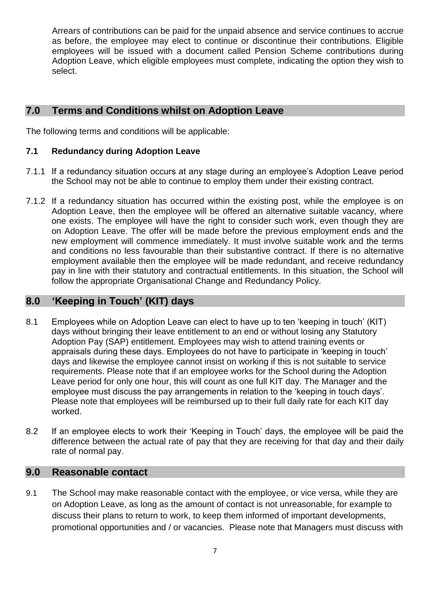Arrears of contributions can be paid for the unpaid absence and service continues to accrue as before, the employee may elect to continue or discontinue their contributions. Eligible employees will be issued with a document called Pension Scheme contributions during Adoption Leave, which eligible employees must complete, indicating the option they wish to select.

# **7.0 Terms and Conditions whilst on Adoption Leave**

The following terms and conditions will be applicable:

#### **7.1 Redundancy during Adoption Leave**

- 7.1.1 If a redundancy situation occurs at any stage during an employee's Adoption Leave period the School may not be able to continue to employ them under their existing contract.
- 7.1.2 If a redundancy situation has occurred within the existing post, while the employee is on Adoption Leave, then the employee will be offered an alternative suitable vacancy, where one exists. The employee will have the right to consider such work, even though they are on Adoption Leave. The offer will be made before the previous employment ends and the new employment will commence immediately. It must involve suitable work and the terms and conditions no less favourable than their substantive contract. If there is no alternative employment available then the employee will be made redundant, and receive redundancy pay in line with their statutory and contractual entitlements. In this situation, the School will follow the appropriate Organisational Change and Redundancy Policy.

# **8.0 'Keeping in Touch' (KIT) days**

- 8.1 Employees while on Adoption Leave can elect to have up to ten 'keeping in touch' (KIT) days without bringing their leave entitlement to an end or without losing any Statutory Adoption Pay (SAP) entitlement. Employees may wish to attend training events or appraisals during these days. Employees do not have to participate in 'keeping in touch' days and likewise the employee cannot insist on working if this is not suitable to service requirements. Please note that if an employee works for the School during the Adoption Leave period for only one hour, this will count as one full KIT day. The Manager and the employee must discuss the pay arrangements in relation to the 'keeping in touch days'. Please note that employees will be reimbursed up to their full daily rate for each KIT day worked.
- 8.2 If an employee elects to work their 'Keeping in Touch' days, the employee will be paid the difference between the actual rate of pay that they are receiving for that day and their daily rate of normal pay.

## **9.0 Reasonable contact**

9.1 The School may make reasonable contact with the employee, or vice versa, while they are on Adoption Leave, as long as the amount of contact is not unreasonable, for example to discuss their plans to return to work, to keep them informed of important developments, promotional opportunities and / or vacancies. Please note that Managers must discuss with